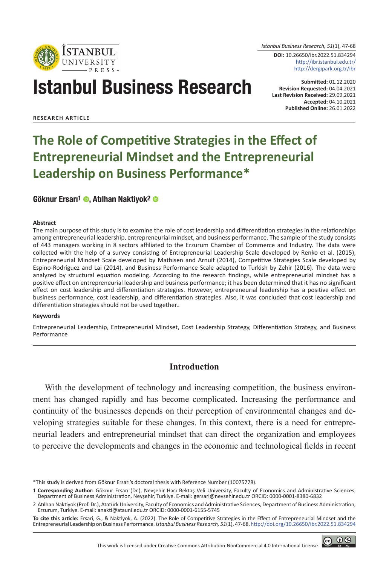

*Istanbul Business Research, 51*(1), 47-68

**DOI:** 10.26650/ibr.2022.51.834294 http://ibr.istanbul.edu.tr/ http://dergipark.org.tr/ibr

# Istanbul Business Research

**Submitted:** 01.12.2020 **Revision Requested:** 04.04.2021 **Last Revision Received:** 29.09.2021 **Accepted:** 04.10.2021 **Published Online:** 26.01.2022

**RESEARCH ARTICLE**

# **The Role of Competitive Strategies in the Effect of Entrepreneurial Mindset and the Entrepreneurial Leadership on Business Performance\***

#### Göknur Ersarı<sup>1</sup> ©, Atılhan Naktiyok<sup>2</sup> ©

#### **Abstract**

The main purpose of this study is to examine the role of cost leadership and differentiation strategies in the relationships among entrepreneurial leadership, entrepreneurial mindset, and business performance. The sample of the study consists of 443 managers working in 8 sectors affiliated to the Erzurum Chamber of Commerce and Industry. The data were collected with the help of a survey consisting of Entrepreneurial Leadership Scale developed by Renko et al. (2015), Entrepreneurial Mindset Scale developed by Mathisen and Arnulf (2014), Competitive Strategies Scale developed by Espino-Rodríguez and Lai (2014), and Business Performance Scale adapted to Turkish by Zehir (2016). The data were analyzed by structural equation modeling. According to the research findings, while entrepreneurial mindset has a positive effect on entrepreneurial leadership and business performance; it has been determined that it has no significant effect on cost leadership and differentiation strategies. However, entrepreneurial leadership has a positive effect on business performance, cost leadership, and differentiation strategies. Also, it was concluded that cost leadership and differentiation strategies should not be used together..

#### **Keywords**

Entrepreneurial Leadership, Entrepreneurial Mindset, Cost Leadership Strategy, Differentiation Strategy, and Business Performance

#### **Introduction**

With the development of technology and increasing competition, the business environment has changed rapidly and has become complicated. Increasing the performance and continuity of the businesses depends on their perception of environmental changes and developing strategies suitable for these changes. In this context, there is a need for entrepreneurial leaders and entrepreneurial mindset that can direct the organization and employees to perceive the developments and changes in the economic and technological fields in recent



<sup>\*</sup>This study is derived from Göknur Ersarı's doctoral thesis with Reference Number (10075778).

<sup>1</sup> **Corresponding Author:** Göknur Ersarı (Dr.), Nevşehir Hacı Bektaş Veli University, Faculty of Economics and Administrative Sciences, Department of Business Administration, Nevşehir, Turkiye. E-mail: gersari@nevsehir.edu.tr ORCID: 0000-0001-8380-6832

<sup>2</sup> Atılhan Naktiyok (Prof. Dr.), Atatürk University, Faculty of Economics and Administrative Sciences, Department of Business Administration, Erzurum, Turkiye. E-mail: anakti@atauni.edu.tr ORCID: 0000-0001-6155-5745

**To cite this article:** Ersari, G., & Naktiyok, A. (2022). The Role of Competitive Strategies in the Effect of Entrepreneurial Mindset and the Entrepreneurial Leadership on Business Performance. *Istanbul Business Research, 51*(1), 47-68. http://doi.org/10.26650/ibr.2022.51.834294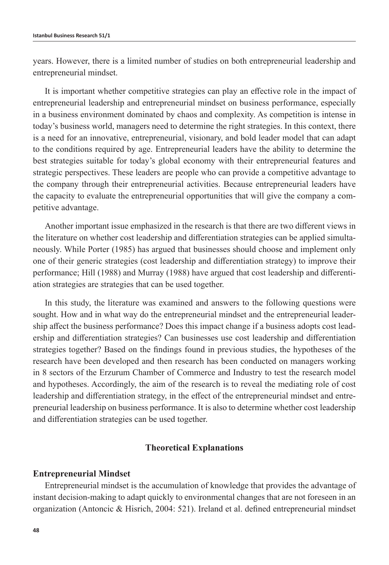years. However, there is a limited number of studies on both entrepreneurial leadership and entrepreneurial mindset.

It is important whether competitive strategies can play an effective role in the impact of entrepreneurial leadership and entrepreneurial mindset on business performance, especially in a business environment dominated by chaos and complexity. As competition is intense in today's business world, managers need to determine the right strategies. In this context, there is a need for an innovative, entrepreneurial, visionary, and bold leader model that can adapt to the conditions required by age. Entrepreneurial leaders have the ability to determine the best strategies suitable for today's global economy with their entrepreneurial features and strategic perspectives. These leaders are people who can provide a competitive advantage to the company through their entrepreneurial activities. Because entrepreneurial leaders have the capacity to evaluate the entrepreneurial opportunities that will give the company a competitive advantage.

Another important issue emphasized in the research is that there are two different views in the literature on whether cost leadership and differentiation strategies can be applied simultaneously. While Porter (1985) has argued that businesses should choose and implement only one of their generic strategies (cost leadership and differentiation strategy) to improve their performance; Hill (1988) and Murray (1988) have argued that cost leadership and differentiation strategies are strategies that can be used together.

In this study, the literature was examined and answers to the following questions were sought. How and in what way do the entrepreneurial mindset and the entrepreneurial leadership affect the business performance? Does this impact change if a business adopts cost leadership and differentiation strategies? Can businesses use cost leadership and differentiation strategies together? Based on the findings found in previous studies, the hypotheses of the research have been developed and then research has been conducted on managers working in 8 sectors of the Erzurum Chamber of Commerce and Industry to test the research model and hypotheses. Accordingly, the aim of the research is to reveal the mediating role of cost leadership and differentiation strategy, in the effect of the entrepreneurial mindset and entrepreneurial leadership on business performance. It is also to determine whether cost leadership and differentiation strategies can be used together.

#### **Theoretical Explanations**

#### **Entrepreneurial Mindset**

Entrepreneurial mindset is the accumulation of knowledge that provides the advantage of instant decision-making to adapt quickly to environmental changes that are not foreseen in an organization (Antoncic & Hisrich, 2004: 521). Ireland et al. defined entrepreneurial mindset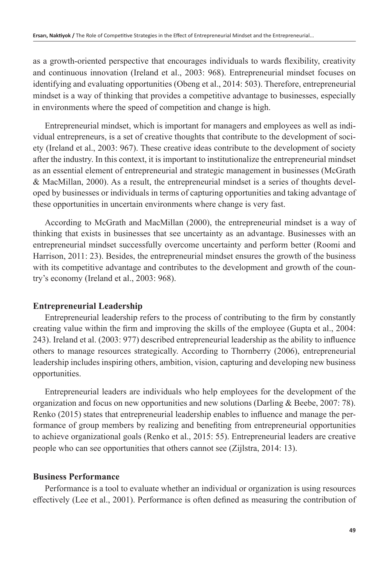as a growth-oriented perspective that encourages individuals to wards flexibility, creativity and continuous innovation (Ireland et al., 2003: 968). Entrepreneurial mindset focuses on identifying and evaluating opportunities (Obeng et al., 2014: 503). Therefore, entrepreneurial mindset is a way of thinking that provides a competitive advantage to businesses, especially in environments where the speed of competition and change is high.

Entrepreneurial mindset, which is important for managers and employees as well as individual entrepreneurs, is a set of creative thoughts that contribute to the development of society (Ireland et al., 2003: 967). These creative ideas contribute to the development of society after the industry. In this context, it is important to institutionalize the entrepreneurial mindset as an essential element of entrepreneurial and strategic management in businesses (McGrath & MacMillan, 2000). As a result, the entrepreneurial mindset is a series of thoughts developed by businesses or individuals in terms of capturing opportunities and taking advantage of these opportunities in uncertain environments where change is very fast.

According to McGrath and MacMillan (2000), the entrepreneurial mindset is a way of thinking that exists in businesses that see uncertainty as an advantage. Businesses with an entrepreneurial mindset successfully overcome uncertainty and perform better (Roomi and Harrison, 2011: 23). Besides, the entrepreneurial mindset ensures the growth of the business with its competitive advantage and contributes to the development and growth of the country's economy (Ireland et al., 2003: 968).

#### **Entrepreneurial Leadership**

Entrepreneurial leadership refers to the process of contributing to the firm by constantly creating value within the firm and improving the skills of the employee (Gupta et al., 2004: 243). Ireland et al. (2003: 977) described entrepreneurial leadership as the ability to influence others to manage resources strategically. According to Thornberry (2006), entrepreneurial leadership includes inspiring others, ambition, vision, capturing and developing new business opportunities.

Entrepreneurial leaders are individuals who help employees for the development of the organization and focus on new opportunities and new solutions (Darling & Beebe, 2007: 78). Renko (2015) states that entrepreneurial leadership enables to influence and manage the performance of group members by realizing and benefiting from entrepreneurial opportunities to achieve organizational goals (Renko et al., 2015: 55). Entrepreneurial leaders are creative people who can see opportunities that others cannot see (Zijlstra, 2014: 13).

#### **Business Performance**

Performance is a tool to evaluate whether an individual or organization is using resources effectively (Lee et al., 2001). Performance is often defined as measuring the contribution of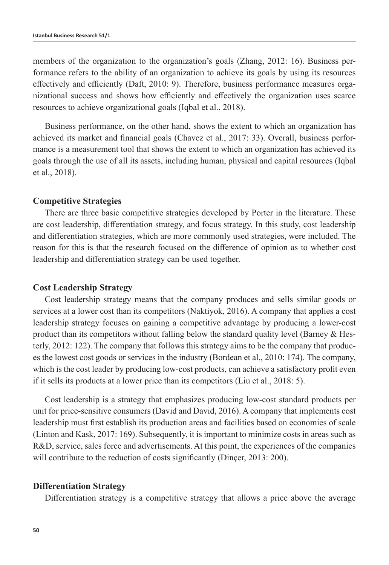members of the organization to the organization's goals (Zhang, 2012: 16). Business performance refers to the ability of an organization to achieve its goals by using its resources effectively and efficiently (Daft, 2010: 9). Therefore, business performance measures organizational success and shows how efficiently and effectively the organization uses scarce resources to achieve organizational goals (Iqbal et al., 2018).

Business performance, on the other hand, shows the extent to which an organization has achieved its market and financial goals (Chavez et al., 2017: 33). Overall, business performance is a measurement tool that shows the extent to which an organization has achieved its goals through the use of all its assets, including human, physical and capital resources (Iqbal et al., 2018).

#### **Competitive Strategies**

There are three basic competitive strategies developed by Porter in the literature. These are cost leadership, differentiation strategy, and focus strategy. In this study, cost leadership and differentiation strategies, which are more commonly used strategies, were included. The reason for this is that the research focused on the difference of opinion as to whether cost leadership and differentiation strategy can be used together.

#### **Cost Leadership Strategy**

Cost leadership strategy means that the company produces and sells similar goods or services at a lower cost than its competitors (Naktiyok, 2016). A company that applies a cost leadership strategy focuses on gaining a competitive advantage by producing a lower-cost product than its competitors without falling below the standard quality level (Barney  $\&$  Hesterly, 2012: 122). The company that follows this strategy aims to be the company that produces the lowest cost goods or services in the industry (Bordean et al., 2010: 174). The company, which is the cost leader by producing low-cost products, can achieve a satisfactory profit even if it sells its products at a lower price than its competitors (Liu et al., 2018: 5).

Cost leadership is a strategy that emphasizes producing low-cost standard products per unit for price-sensitive consumers (David and David, 2016). A company that implements cost leadership must first establish its production areas and facilities based on economies of scale (Linton and Kask, 2017: 169). Subsequently, it is important to minimize costs in areas such as R&D, service, sales force and advertisements. At this point, the experiences of the companies will contribute to the reduction of costs significantly (Dincer, 2013: 200).

#### **Differentiation Strategy**

Differentiation strategy is a competitive strategy that allows a price above the average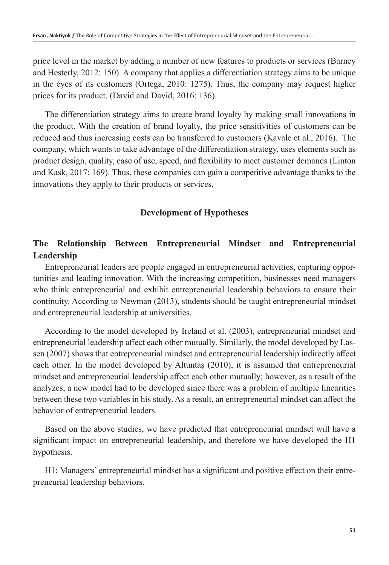price level in the market by adding a number of new features to products or services (Barney and Hesterly, 2012: 150). A company that applies a differentiation strategy aims to be unique in the eyes of its customers (Ortega, 2010: 1275). Thus, the company may request higher prices for its product. (David and David, 2016: 136).

The differentiation strategy aims to create brand loyalty by making small innovations in the product. With the creation of brand loyalty, the price sensitivities of customers can be reduced and thus increasing costs can be transferred to customers (Kavale et al., 2016). The company, which wants to take advantage of the differentiation strategy, uses elements such as product design, quality, ease of use, speed, and flexibility to meet customer demands (Linton and Kask, 2017: 169). Thus, these companies can gain a competitive advantage thanks to the innovations they apply to their products or services.

# **Development of Hypotheses**

# **The Relationship Between Entrepreneurial Mindset and Entrepreneurial Leadership**

Entrepreneurial leaders are people engaged in entrepreneurial activities, capturing opportunities and leading innovation. With the increasing competition, businesses need managers who think entrepreneurial and exhibit entrepreneurial leadership behaviors to ensure their continuity. According to Newman (2013), students should be taught entrepreneurial mindset and entrepreneurial leadership at universities.

According to the model developed by Ireland et al. (2003), entrepreneurial mindset and entrepreneurial leadership affect each other mutually. Similarly, the model developed by Lassen (2007) shows that entrepreneurial mindset and entrepreneurial leadership indirectly affect each other. In the model developed by Altuntaş (2010), it is assumed that entrepreneurial mindset and entrepreneurial leadership affect each other mutually; however, as a result of the analyzes, a new model had to be developed since there was a problem of multiple linearities between these two variables in his study. As a result, an entrepreneurial mindset can affect the behavior of entrepreneurial leaders.

Based on the above studies, we have predicted that entrepreneurial mindset will have a significant impact on entrepreneurial leadership, and therefore we have developed the H1 hypothesis.

H1: Managers' entrepreneurial mindset has a significant and positive effect on their entrepreneurial leadership behaviors.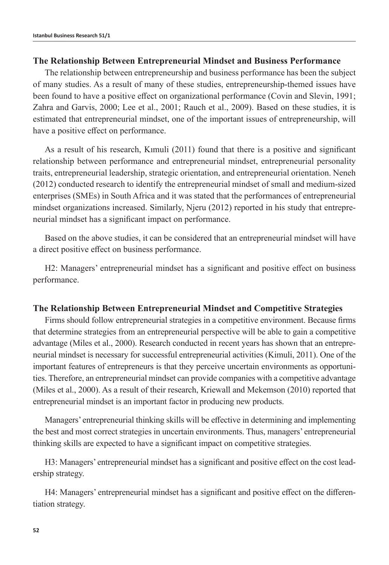#### **The Relationship Between Entrepreneurial Mindset and Business Performance**

The relationship between entrepreneurship and business performance has been the subject of many studies. As a result of many of these studies, entrepreneurship-themed issues have been found to have a positive effect on organizational performance (Covin and Slevin, 1991; Zahra and Garvis, 2000; Lee et al., 2001; Rauch et al., 2009). Based on these studies, it is estimated that entrepreneurial mindset, one of the important issues of entrepreneurship, will have a positive effect on performance.

As a result of his research, Kımuli (2011) found that there is a positive and significant relationship between performance and entrepreneurial mindset, entrepreneurial personality traits, entrepreneurial leadership, strategic orientation, and entrepreneurial orientation. Neneh (2012) conducted research to identify the entrepreneurial mindset of small and medium-sized enterprises (SMEs) in South Africa and it was stated that the performances of entrepreneurial mindset organizations increased. Similarly, Njeru (2012) reported in his study that entrepreneurial mindset has a significant impact on performance.

Based on the above studies, it can be considered that an entrepreneurial mindset will have a direct positive effect on business performance.

H2: Managers' entrepreneurial mindset has a significant and positive effect on business performance.

#### **The Relationship Between Entrepreneurial Mindset and Competitive Strategies**

Firms should follow entrepreneurial strategies in a competitive environment. Because firms that determine strategies from an entrepreneurial perspective will be able to gain a competitive advantage (Miles et al., 2000). Research conducted in recent years has shown that an entrepreneurial mindset is necessary for successful entrepreneurial activities (Kimuli, 2011). One of the important features of entrepreneurs is that they perceive uncertain environments as opportunities. Therefore, an entrepreneurial mindset can provide companies with a competitive advantage (Miles et al., 2000). As a result of their research, Kriewall and Mekemson (2010) reported that entrepreneurial mindset is an important factor in producing new products.

Managers' entrepreneurial thinking skills will be effective in determining and implementing the best and most correct strategies in uncertain environments. Thus, managers' entrepreneurial thinking skills are expected to have a significant impact on competitive strategies.

H3: Managers' entrepreneurial mindset has a significant and positive effect on the cost leadership strategy.

H4: Managers' entrepreneurial mindset has a significant and positive effect on the differentiation strategy.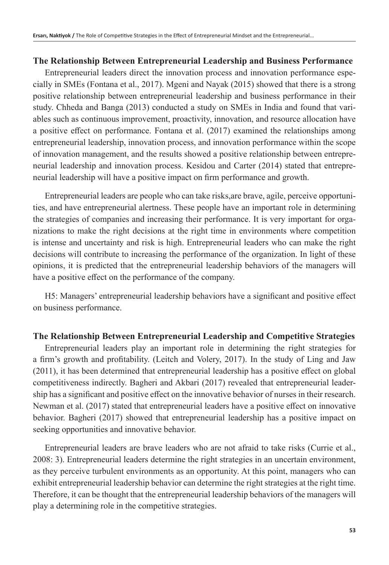#### **The Relationship Between Entrepreneurial Leadership and Business Performance**

Entrepreneurial leaders direct the innovation process and innovation performance especially in SMEs (Fontana et al., 2017). Mgeni and Nayak (2015) showed that there is a strong positive relationship between entrepreneurial leadership and business performance in their study. Chheda and Banga (2013) conducted a study on SMEs in India and found that variables such as continuous improvement, proactivity, innovation, and resource allocation have a positive effect on performance. Fontana et al. (2017) examined the relationships among entrepreneurial leadership, innovation process, and innovation performance within the scope of innovation management, and the results showed a positive relationship between entrepreneurial leadership and innovation process. Kesidou and Carter (2014) stated that entrepreneurial leadership will have a positive impact on firm performance and growth.

Entrepreneurial leaders are people who can take risks,are brave, agile, perceive opportunities, and have entrepreneurial alertness. These people have an important role in determining the strategies of companies and increasing their performance. It is very important for organizations to make the right decisions at the right time in environments where competition is intense and uncertainty and risk is high. Entrepreneurial leaders who can make the right decisions will contribute to increasing the performance of the organization. In light of these opinions, it is predicted that the entrepreneurial leadership behaviors of the managers will have a positive effect on the performance of the company.

H5: Managers' entrepreneurial leadership behaviors have a significant and positive effect on business performance.

#### **The Relationship Between Entrepreneurial Leadership and Competitive Strategies**

Entrepreneurial leaders play an important role in determining the right strategies for a firm's growth and profitability. (Leitch and Volery, 2017). In the study of Ling and Jaw (2011), it has been determined that entrepreneurial leadership has a positive effect on global competitiveness indirectly. Bagheri and Akbari (2017) revealed that entrepreneurial leadership has a significant and positive effect on the innovative behavior of nurses in their research. Newman et al. (2017) stated that entrepreneurial leaders have a positive effect on innovative behavior. Bagheri (2017) showed that entrepreneurial leadership has a positive impact on seeking opportunities and innovative behavior.

Entrepreneurial leaders are brave leaders who are not afraid to take risks (Currie et al., 2008: 3). Entrepreneurial leaders determine the right strategies in an uncertain environment, as they perceive turbulent environments as an opportunity. At this point, managers who can exhibit entrepreneurial leadership behavior can determine the right strategies at the right time. Therefore, it can be thought that the entrepreneurial leadership behaviors of the managers will play a determining role in the competitive strategies.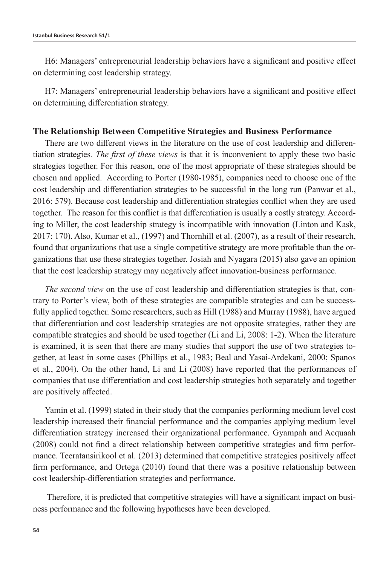H6: Managers' entrepreneurial leadership behaviors have a significant and positive effect on determining cost leadership strategy.

H7: Managers' entrepreneurial leadership behaviors have a significant and positive effect on determining differentiation strategy.

#### **The Relationship Between Competitive Strategies and Business Performance**

There are two different views in the literature on the use of cost leadership and differentiation strategies*. The first of these views* is that it is inconvenient to apply these two basic strategies together. For this reason, one of the most appropriate of these strategies should be chosen and applied. According to Porter (1980-1985), companies need to choose one of the cost leadership and differentiation strategies to be successful in the long run (Panwar et al., 2016: 579). Because cost leadership and differentiation strategies conflict when they are used together. The reason for this conflict is that differentiation is usually a costly strategy. According to Miller, the cost leadership strategy is incompatible with innovation (Linton and Kask, 2017: 170). Also, Kumar et al., (1997) and Thornhill et al. (2007), as a result of their research, found that organizations that use a single competitive strategy are more profitable than the organizations that use these strategies together. Josiah and Nyagara (2015) also gave an opinion that the cost leadership strategy may negatively affect innovation-business performance.

*The second view* on the use of cost leadership and differentiation strategies is that, contrary to Porter's view, both of these strategies are compatible strategies and can be successfully applied together. Some researchers, such as Hill (1988) and Murray (1988), have argued that differentiation and cost leadership strategies are not opposite strategies, rather they are compatible strategies and should be used together (Li and Li, 2008: 1-2). When the literature is examined, it is seen that there are many studies that support the use of two strategies together, at least in some cases (Phillips et al., 1983; Beal and Yasai-Ardekani, 2000; Spanos et al., 2004). On the other hand, Li and Li (2008) have reported that the performances of companies that use differentiation and cost leadership strategies both separately and together are positively affected.

Yamin et al. (1999) stated in their study that the companies performing medium level cost leadership increased their financial performance and the companies applying medium level differentiation strategy increased their organizational performance. Gyampah and Acquaah (2008) could not find a direct relationship between competitive strategies and firm performance. Teeratansirikool et al. (2013) determined that competitive strategies positively affect firm performance, and Ortega (2010) found that there was a positive relationship between cost leadership-differentiation strategies and performance.

 Therefore, it is predicted that competitive strategies will have a significant impact on business performance and the following hypotheses have been developed.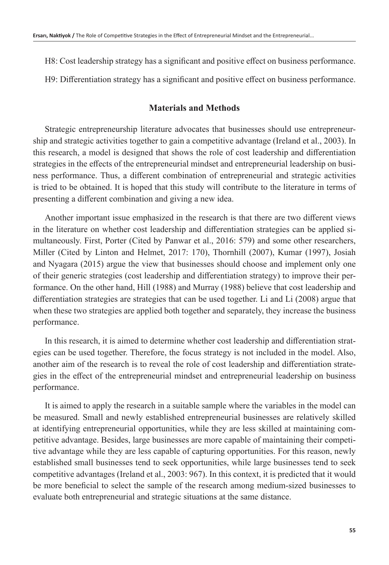H8: Cost leadership strategy has a significant and positive effect on business performance.

H9: Differentiation strategy has a significant and positive effect on business performance.

### **Materials and Methods**

Strategic entrepreneurship literature advocates that businesses should use entrepreneurship and strategic activities together to gain a competitive advantage (Ireland et al., 2003). In this research, a model is designed that shows the role of cost leadership and differentiation strategies in the effects of the entrepreneurial mindset and entrepreneurial leadership on business performance. Thus, a different combination of entrepreneurial and strategic activities is tried to be obtained. It is hoped that this study will contribute to the literature in terms of presenting a different combination and giving a new idea.

Another important issue emphasized in the research is that there are two different views in the literature on whether cost leadership and differentiation strategies can be applied simultaneously. First, Porter (Cited by Panwar et al., 2016: 579) and some other researchers, Miller (Cited by Linton and Helmet, 2017: 170), Thornhill (2007), Kumar (1997), Josiah and Nyagara (2015) argue the view that businesses should choose and implement only one of their generic strategies (cost leadership and differentiation strategy) to improve their performance. On the other hand, Hill (1988) and Murray (1988) believe that cost leadership and differentiation strategies are strategies that can be used together. Li and Li (2008) argue that when these two strategies are applied both together and separately, they increase the business performance.

In this research, it is aimed to determine whether cost leadership and differentiation strategies can be used together. Therefore, the focus strategy is not included in the model. Also, another aim of the research is to reveal the role of cost leadership and differentiation strategies in the effect of the entrepreneurial mindset and entrepreneurial leadership on business performance.

It is aimed to apply the research in a suitable sample where the variables in the model can be measured. Small and newly established entrepreneurial businesses are relatively skilled at identifying entrepreneurial opportunities, while they are less skilled at maintaining competitive advantage. Besides, large businesses are more capable of maintaining their competitive advantage while they are less capable of capturing opportunities. For this reason, newly established small businesses tend to seek opportunities, while large businesses tend to seek competitive advantages (Ireland et al., 2003: 967). In this context, it is predicted that it would be more beneficial to select the sample of the research among medium-sized businesses to evaluate both entrepreneurial and strategic situations at the same distance.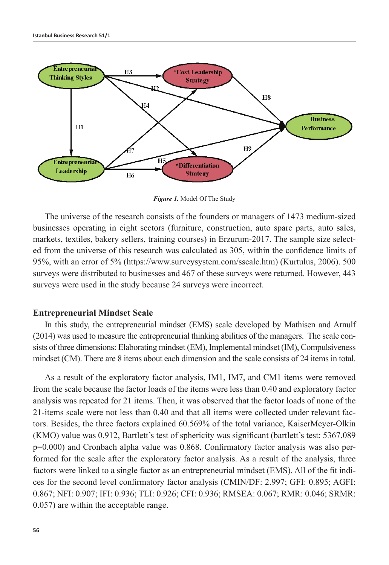

*Figure 1.* Model Of The Study

The universe of the research consists of the founders or managers of 1473 medium-sized businesses operating in eight sectors (furniture, construction, auto spare parts, auto sales, markets, textiles, bakery sellers, training courses) in Erzurum-2017. The sample size selected from the universe of this research was calculated as 305, within the confidence limits of 95%, with an error of 5% (https://www.surveysystem.com/sscalc.htm) (Kurtulus, 2006). 500 surveys were distributed to businesses and 467 of these surveys were returned. However, 443 surveys were used in the study because 24 surveys were incorrect.

#### **Entrepreneurial Mindset Scale**

In this study, the entrepreneurial mindset (EMS) scale developed by Mathisen and Arnulf (2014) was used to measure the entrepreneurial thinking abilities of the managers. The scale consists of three dimensions: Elaborating mindset (EM), Implemental mindset (IM), Compulsiveness mindset (CM). There are 8 items about each dimension and the scale consists of 24 items in total.

As a result of the exploratory factor analysis, IM1, IM7, and CM1 items were removed from the scale because the factor loads of the items were less than 0.40 and exploratory factor analysis was repeated for 21 items. Then, it was observed that the factor loads of none of the 21-items scale were not less than 0.40 and that all items were collected under relevant factors. Besides, the three factors explained 60.569% of the total variance, KaiserMeyer-Olkin (KMO) value was 0.912, Bartlett's test of sphericity was significant (bartlett's test: 5367.089 p=0.000) and Cronbach alpha value was 0.868. Confirmatory factor analysis was also performed for the scale after the exploratory factor analysis. As a result of the analysis, three factors were linked to a single factor as an entrepreneurial mindset (EMS). All of the fit indices for the second level confirmatory factor analysis (CMIN/DF: 2.997; GFI: 0.895; AGFI: 0.867; NFI: 0.907; IFI: 0.936; TLI: 0.926; CFI: 0.936; RMSEA: 0.067; RMR: 0.046; SRMR: 0.057) are within the acceptable range.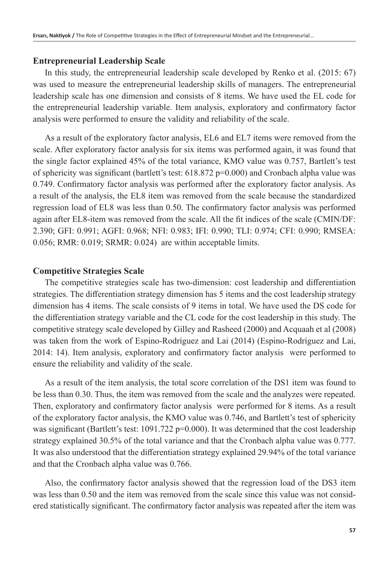#### **Entrepreneurial Leadership Scale**

In this study, the entrepreneurial leadership scale developed by Renko et al. (2015: 67) was used to measure the entrepreneurial leadership skills of managers. The entrepreneurial leadership scale has one dimension and consists of 8 items. We have used the EL code for the entrepreneurial leadership variable. Item analysis, exploratory and confirmatory factor analysis were performed to ensure the validity and reliability of the scale.

As a result of the exploratory factor analysis, EL6 and EL7 items were removed from the scale. After exploratory factor analysis for six items was performed again, it was found that the single factor explained 45% of the total variance, KMO value was 0.757, Bartlett's test of sphericity was significant (bartlett's test: 618.872 p=0.000) and Cronbach alpha value was 0.749. Confirmatory factor analysis was performed after the exploratory factor analysis. As a result of the analysis, the EL8 item was removed from the scale because the standardized regression load of EL8 was less than 0.50. The confirmatory factor analysis was performed again after EL8-item was removed from the scale. All the fit indices of the scale (CMIN/DF: 2.390; GFI: 0.991; AGFI: 0.968; NFI: 0.983; IFI: 0.990; TLI: 0.974; CFI: 0.990; RMSEA: 0.056; RMR: 0.019; SRMR: 0.024) are within acceptable limits.

#### **Competitive Strategies Scale**

The competitive strategies scale has two-dimension: cost leadership and differentiation strategies. The differentiation strategy dimension has 5 items and the cost leadership strategy dimension has 4 items. The scale consists of 9 items in total. We have used the DS code for the differentiation strategy variable and the CL code for the cost leadership in this study. The competitive strategy scale developed by Gilley and Rasheed (2000) and Acquaah et al (2008) was taken from the work of Espino-Rodríguez and Lai (2014) (Espino-Rodríguez and Lai, 2014: 14). Item analysis, exploratory and confirmatory factor analysis were performed to ensure the reliability and validity of the scale.

As a result of the item analysis, the total score correlation of the DS1 item was found to be less than 0.30. Thus, the item was removed from the scale and the analyzes were repeated. Then, exploratory and confirmatory factor analysis were performed for 8 items. As a result of the exploratory factor analysis, the KMO value was 0.746, and Bartlett's test of sphericity was significant (Bartlett's test:  $1091.722 \text{ p} = 0.000$ ). It was determined that the cost leadership strategy explained 30.5% of the total variance and that the Cronbach alpha value was 0.777. It was also understood that the differentiation strategy explained 29.94% of the total variance and that the Cronbach alpha value was 0.766.

Also, the confirmatory factor analysis showed that the regression load of the DS3 item was less than 0.50 and the item was removed from the scale since this value was not considered statistically significant. The confirmatory factor analysis was repeated after the item was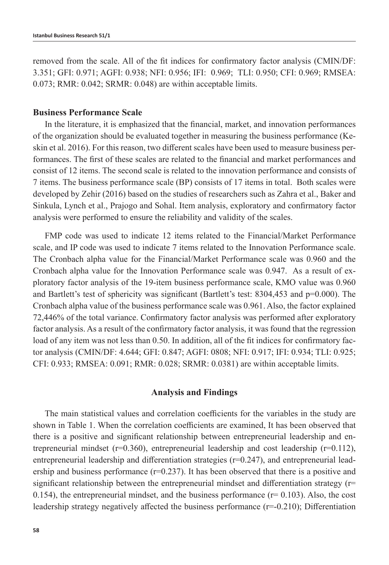removed from the scale. All of the fit indices for confirmatory factor analysis (CMIN/DF: 3.351; GFI: 0.971; AGFI: 0.938; NFI: 0.956; IFI: 0.969; TLI: 0.950; CFI: 0.969; RMSEA: 0.073; RMR: 0.042; SRMR: 0.048) are within acceptable limits.

## **Business Performance Scale**

In the literature, it is emphasized that the financial, market, and innovation performances of the organization should be evaluated together in measuring the business performance (Keskin et al. 2016). For this reason, two different scales have been used to measure business performances. The first of these scales are related to the financial and market performances and consist of 12 items. The second scale is related to the innovation performance and consists of 7 items. The business performance scale (BP) consists of 17 items in total. Both scales were developed by Zehir (2016) based on the studies of researchers such as Zahra et al., Baker and Sinkula, Lynch et al., Prajogo and Sohal. Item analysis, exploratory and confirmatory factor analysis were performed to ensure the reliability and validity of the scales.

FMP code was used to indicate 12 items related to the Financial/Market Performance scale, and IP code was used to indicate 7 items related to the Innovation Performance scale. The Cronbach alpha value for the Financial/Market Performance scale was 0.960 and the Cronbach alpha value for the Innovation Performance scale was 0.947. As a result of exploratory factor analysis of the 19-item business performance scale, KMO value was 0.960 and Bartlett's test of sphericity was significant (Bartlett's test: 8304,453 and p=0.000). The Cronbach alpha value of the business performance scale was 0.961. Also, the factor explained 72,446% of the total variance. Confirmatory factor analysis was performed after exploratory factor analysis. As a result of the confirmatory factor analysis, it was found that the regression load of any item was not less than 0.50. In addition, all of the fit indices for confirmatory factor analysis (CMIN/DF: 4.644; GFI: 0.847; AGFI: 0808; NFI: 0.917; IFI: 0.934; TLI: 0.925; CFI: 0.933; RMSEA: 0.091; RMR: 0.028; SRMR: 0.0381) are within acceptable limits.

#### **Analysis and Findings**

The main statistical values and correlation coefficients for the variables in the study are shown in Table 1. When the correlation coefficients are examined, It has been observed that there is a positive and significant relationship between entrepreneurial leadership and entrepreneurial mindset ( $r=0.360$ ), entrepreneurial leadership and cost leadership ( $r=0.112$ ), entrepreneurial leadership and differentiation strategies (r=0.247), and entrepreneurial leadership and business performance ( $r=0.237$ ). It has been observed that there is a positive and significant relationship between the entrepreneurial mindset and differentiation strategy ( $r=$ 0.154), the entrepreneurial mindset, and the business performance  $(r= 0.103)$ . Also, the cost leadership strategy negatively affected the business performance (r=-0.210); Differentiation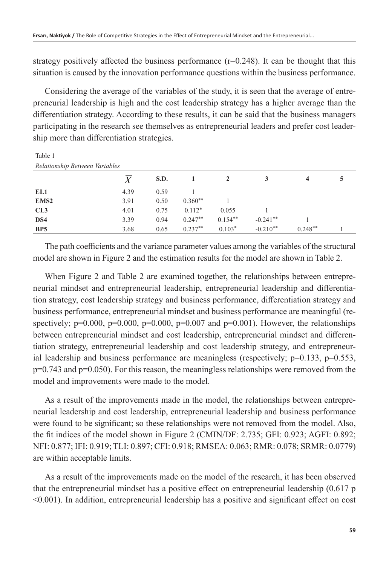Table 1

strategy positively affected the business performance  $(r=0.248)$ . It can be thought that this situation is caused by the innovation performance questions within the business performance.

Considering the average of the variables of the study, it is seen that the average of entrepreneurial leadership is high and the cost leadership strategy has a higher average than the differentiation strategy. According to these results, it can be said that the business managers participating in the research see themselves as entrepreneurial leaders and prefer cost leadership more than differentiation strategies.

| Relationship Between Variables |      |      |           |           |            |           |  |
|--------------------------------|------|------|-----------|-----------|------------|-----------|--|
|                                |      | S.D. |           |           | 3          | 4         |  |
| EL1                            | 4.39 | 0.59 |           |           |            |           |  |
| EMS <sub>2</sub>               | 3.91 | 0.50 | $0.360**$ |           |            |           |  |
| CL3                            | 4.01 | 0.75 | $0.112*$  | 0.055     |            |           |  |
| DS4                            | 3.39 | 0.94 | $0.247**$ | $0.154**$ | $-0.241**$ |           |  |
| BP <sub>5</sub>                | 3.68 | 0.65 | $0.237**$ | $0.103*$  | $-0.210**$ | $0.248**$ |  |

The path coefficients and the variance parameter values among the variables of the structural model are shown in Figure 2 and the estimation results for the model are shown in Table 2.

When Figure 2 and Table 2 are examined together, the relationships between entrepreneurial mindset and entrepreneurial leadership, entrepreneurial leadership and differentiation strategy, cost leadership strategy and business performance, differentiation strategy and business performance, entrepreneurial mindset and business performance are meaningful (respectively;  $p=0.000$ ,  $p=0.000$ ,  $p=0.000$ ,  $p=0.007$  and  $p=0.001$ ). However, the relationships between entrepreneurial mindset and cost leadership, entrepreneurial mindset and differentiation strategy, entrepreneurial leadership and cost leadership strategy, and entrepreneurial leadership and business performance are meaningless (respectively;  $p=0.133$ ,  $p=0.553$ ,  $p=0.743$  and  $p=0.050$ . For this reason, the meaningless relationships were removed from the model and improvements were made to the model.

As a result of the improvements made in the model, the relationships between entrepreneurial leadership and cost leadership, entrepreneurial leadership and business performance were found to be significant; so these relationships were not removed from the model. Also, the fit indices of the model shown in Figure 2 (CMIN/DF: 2.735; GFI: 0.923; AGFI: 0.892; NFI: 0.877; IFI: 0.919; TLI: 0.897; CFI: 0.918; RMSEA: 0.063; RMR: 0.078; SRMR: 0.0779) are within acceptable limits.

As a result of the improvements made on the model of the research, it has been observed that the entrepreneurial mindset has a positive effect on entrepreneurial leadership (0.617 p <0.001). In addition, entrepreneurial leadership has a positive and significant effect on cost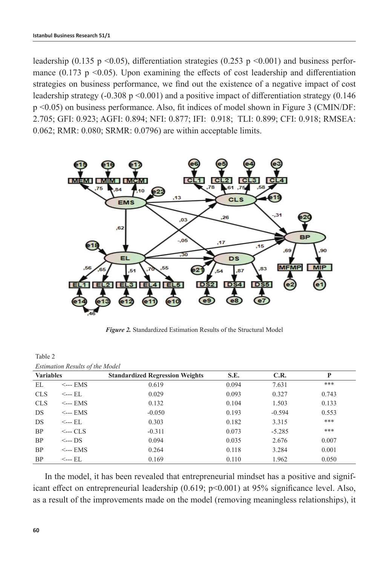leadership (0.135 p <0.05), differentiation strategies (0.253 p <0.001) and business performance  $(0.173 \text{ p} \le 0.05)$ . Upon examining the effects of cost leadership and differentiation strategies on business performance, we find out the existence of a negative impact of cost leadership strategy  $(-0.308 \text{ p} < 0.001)$  and a positive impact of differentiation strategy  $(0.146$ p <0.05) on business performance. Also, fit indices of model shown in Figure 3 (CMIN/DF: 2.705; GFI: 0.923; AGFI: 0.894; NFI: 0.877; IFI: 0.918; TLI: 0.899; CFI: 0.918; RMSEA: 0.062; RMR: 0.080; SRMR: 0.0796) are within acceptable limits.



*Figure 2.* Standardized Estimation Results of the Structural Model

| 140IV 2          |                                        |                                        |       |          |       |  |
|------------------|----------------------------------------|----------------------------------------|-------|----------|-------|--|
|                  | <b>Estimation Results of the Model</b> |                                        |       |          |       |  |
| <b>Variables</b> |                                        | <b>Standardized Regression Weights</b> | S.E.  | C.R.     | P     |  |
| EL               | $\leftarrow$ --- EMS                   | 0.619                                  | 0.094 | 7.631    | ***   |  |
| <b>CLS</b>       | <--- EL                                | 0.029                                  | 0.093 | 0.327    | 0.743 |  |
| <b>CLS</b>       | $\leftarrow$ -- EMS                    | 0.132                                  | 0.104 | 1.503    | 0.133 |  |
| DS               | $\leftarrow$ -- EMS                    | $-0.050$                               | 0.193 | $-0.594$ | 0.553 |  |
| DS.              | <--- EL                                | 0.303                                  | 0.182 | 3.315    | ***   |  |
| BP               | $\leftarrow$ -- CLS                    | $-0.311$                               | 0.073 | $-5.285$ | ***   |  |
| <b>BP</b>        | $\leftarrow$ --- DS                    | 0.094                                  | 0.035 | 2.676    | 0.007 |  |
| BP               | $\leftarrow$ -- EMS                    | 0.264                                  | 0.118 | 3.284    | 0.001 |  |
| <b>BP</b>        | <--- EL                                | 0.169                                  | 0.110 | 1.962    | 0.050 |  |

In the model, it has been revealed that entrepreneurial mindset has a positive and significant effect on entrepreneurial leadership (0.619; p<0.001) at 95% significance level. Also, as a result of the improvements made on the model (removing meaningless relationships), it

Table 2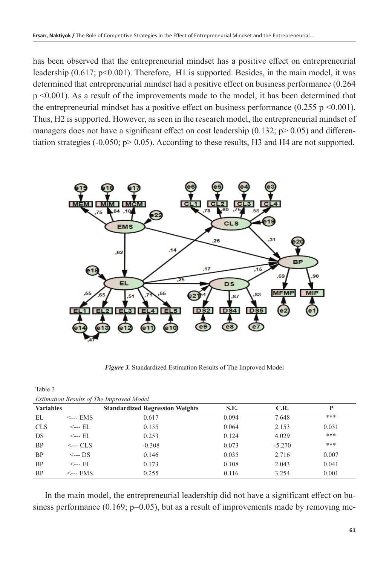has been observed that the entrepreneurial mindset has a positive effect on entrepreneurial leadership  $(0.617; p<0.001)$ . Therefore, H<sub>1</sub> is supported. Besides, in the main model, it was determined that entrepreneurial mindset had a positive effect on business performance (0.264 p <0.001). As a result of the improvements made to the model, it has been determined that the entrepreneurial mindset has a positive effect on business performance  $(0.255 \text{ p} \le 0.001)$ . Thus, H2 is supported. However, as seen in the research model, the entrepreneurial mindset of managers does not have a significant effect on cost leadership (0.132;  $p > 0.05$ ) and differentiation strategies  $(-0.050; p > 0.05)$ . According to these results, H3 and H4 are not supported.



*Figure 3.* Standardized Estimation Results of The Improved Model

Table 3

| <b>Estimation Results of The Improved Model</b> |                     |                                        |       |          |       |  |
|-------------------------------------------------|---------------------|----------------------------------------|-------|----------|-------|--|
| <b>Variables</b>                                |                     | <b>Standardized Regression Weights</b> | S.E.  | C.R.     | P     |  |
| EL                                              | $\leftarrow$ EMS    | 0.617                                  | 0.094 | 7.648    | ***   |  |
| <b>CLS</b>                                      | $\leftarrow$ EL     | 0.135                                  | 0.064 | 2.153    | 0.031 |  |
| DS                                              | $\leftarrow$ EL     | 0.253                                  | 0.124 | 4.029    | ***   |  |
| <b>BP</b>                                       | $\leftarrow$ CLS    | $-0.308$                               | 0.073 | $-5.270$ | ***   |  |
| <b>BP</b>                                       | $\leftarrow$ DS     | 0.146                                  | 0.035 | 2.716    | 0.007 |  |
| <b>BP</b>                                       | $\leftarrow$ EL     | 0.173                                  | 0.108 | 2.043    | 0.041 |  |
| <b>BP</b>                                       | $\leftarrow$ -- EMS | 0.255                                  | 0.116 | 3.254    | 0.001 |  |

In the main model, the entrepreneurial leadership did not have a significant effect on business performance  $(0.169; p=0.05)$ , but as a result of improvements made by removing me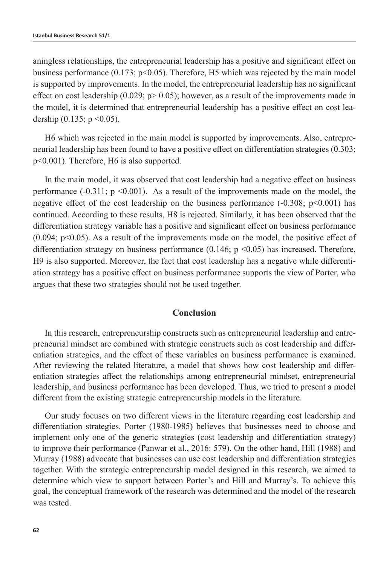aningless relationships, the entrepreneurial leadership has a positive and significant effect on business performance (0.173;  $p<0.05$ ). Therefore, H5 which was rejected by the main model is supported by improvements. In the model, the entrepreneurial leadership has no significant effect on cost leadership  $(0.029; p > 0.05)$ ; however, as a result of the improvements made in the model, it is determined that entrepreneurial leadership has a positive effect on cost leadership  $(0.135; p \le 0.05)$ .

H6 which was rejected in the main model is supported by improvements. Also, entrepreneurial leadership has been found to have a positive effect on differentiation strategies (0.303; p<0.001). Therefore, H6 is also supported.

In the main model, it was observed that cost leadership had a negative effect on business performance  $(-0.311; p \le 0.001)$ . As a result of the improvements made on the model, the negative effect of the cost leadership on the business performance  $(-0.308; p<0.001)$  has continued. According to these results, H8 is rejected. Similarly, it has been observed that the differentiation strategy variable has a positive and significant effect on business performance  $(0.094; p<0.05)$ . As a result of the improvements made on the model, the positive effect of differentiation strategy on business performance  $(0.146; p \le 0.05)$  has increased. Therefore, H9 is also supported. Moreover, the fact that cost leadership has a negative while differentiation strategy has a positive effect on business performance supports the view of Porter, who argues that these two strategies should not be used together.

#### **Conclusion**

In this research, entrepreneurship constructs such as entrepreneurial leadership and entrepreneurial mindset are combined with strategic constructs such as cost leadership and differentiation strategies, and the effect of these variables on business performance is examined. After reviewing the related literature, a model that shows how cost leadership and differentiation strategies affect the relationships among entrepreneurial mindset, entrepreneurial leadership, and business performance has been developed. Thus, we tried to present a model different from the existing strategic entrepreneurship models in the literature.

Our study focuses on two different views in the literature regarding cost leadership and differentiation strategies. Porter (1980-1985) believes that businesses need to choose and implement only one of the generic strategies (cost leadership and differentiation strategy) to improve their performance (Panwar et al., 2016: 579). On the other hand, Hill (1988) and Murray (1988) advocate that businesses can use cost leadership and differentiation strategies together. With the strategic entrepreneurship model designed in this research, we aimed to determine which view to support between Porter's and Hill and Murray's. To achieve this goal, the conceptual framework of the research was determined and the model of the research was tested.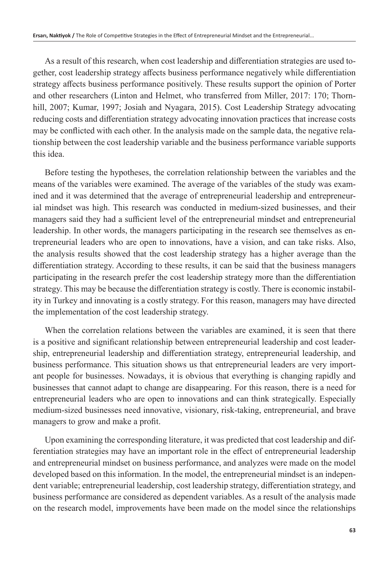As a result of this research, when cost leadership and differentiation strategies are used together, cost leadership strategy affects business performance negatively while differentiation strategy affects business performance positively. These results support the opinion of Porter and other researchers (Linton and Helmet, who transferred from Miller, 2017: 170; Thornhill, 2007; Kumar, 1997; Josiah and Nyagara, 2015). Cost Leadership Strategy advocating reducing costs and differentiation strategy advocating innovation practices that increase costs may be conflicted with each other. In the analysis made on the sample data, the negative relationship between the cost leadership variable and the business performance variable supports this idea.

Before testing the hypotheses, the correlation relationship between the variables and the means of the variables were examined. The average of the variables of the study was examined and it was determined that the average of entrepreneurial leadership and entrepreneurial mindset was high. This research was conducted in medium-sized businesses, and their managers said they had a sufficient level of the entrepreneurial mindset and entrepreneurial leadership. In other words, the managers participating in the research see themselves as entrepreneurial leaders who are open to innovations, have a vision, and can take risks. Also, the analysis results showed that the cost leadership strategy has a higher average than the differentiation strategy. According to these results, it can be said that the business managers participating in the research prefer the cost leadership strategy more than the differentiation strategy. This may be because the differentiation strategy is costly. There is economic instability in Turkey and innovating is a costly strategy. For this reason, managers may have directed the implementation of the cost leadership strategy.

When the correlation relations between the variables are examined, it is seen that there is a positive and significant relationship between entrepreneurial leadership and cost leadership, entrepreneurial leadership and differentiation strategy, entrepreneurial leadership, and business performance. This situation shows us that entrepreneurial leaders are very important people for businesses. Nowadays, it is obvious that everything is changing rapidly and businesses that cannot adapt to change are disappearing. For this reason, there is a need for entrepreneurial leaders who are open to innovations and can think strategically. Especially medium-sized businesses need innovative, visionary, risk-taking, entrepreneurial, and brave managers to grow and make a profit.

Upon examining the corresponding literature, it was predicted that cost leadership and differentiation strategies may have an important role in the effect of entrepreneurial leadership and entrepreneurial mindset on business performance, and analyzes were made on the model developed based on this information. In the model, the entrepreneurial mindset is an independent variable; entrepreneurial leadership, cost leadership strategy, differentiation strategy, and business performance are considered as dependent variables. As a result of the analysis made on the research model, improvements have been made on the model since the relationships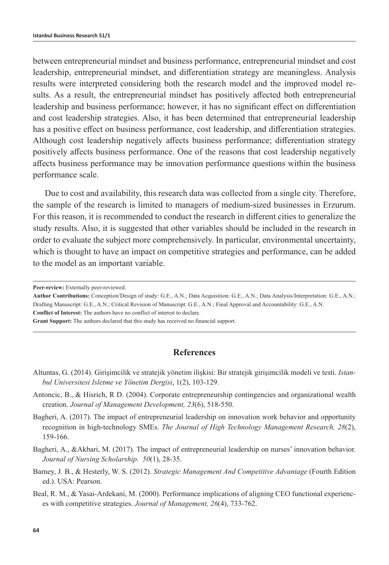between entrepreneurial mindset and business performance, entrepreneurial mindset and cost leadership, entrepreneurial mindset, and differentiation strategy are meaningless. Analysis results were interpreted considering both the research model and the improved model results. As a result, the entrepreneurial mindset has positively affected both entrepreneurial leadership and business performance; however, it has no significant effect on differentiation and cost leadership strategies. Also, it has been determined that entrepreneurial leadership has a positive effect on business performance, cost leadership, and differentiation strategies. Although cost leadership negatively affects business performance; differentiation strategy positively affects business performance. One of the reasons that cost leadership negatively affects business performance may be innovation performance questions within the business performance scale.

Due to cost and availability, this research data was collected from a single city. Therefore, the sample of the research is limited to managers of medium-sized businesses in Erzurum. For this reason, it is recommended to conduct the research in different cities to generalize the study results. Also, it is suggested that other variables should be included in the research in order to evaluate the subject more comprehensively. In particular, environmental uncertainty, which is thought to have an impact on competitive strategies and performance, can be added to the model as an important variable.

**Grant Support:** The authors declared that this study has received no financial support.

#### **References**

- Altuntas, G. (2014). Girişimcilik ve stratejik yönetim ilişkisi: Bir stratejik girişimcilik modeli ve testi. *Istanbul Universitesi Isletme ve Yönetim Dergisi*, 1(2), 103-129.
- Antoncic, B., & Hisrich, R D. (2004). Corporate entrepreneurship contingencies and organizational wealth creation. *Journal of Management Development, 23*(6), 518-550.
- Bagheri, A. (2017). The impact of entrepreneurial leadership on innovation work behavior and opportunity recognition in high-technology SMEs. *The Journal of High Technology Management Research, 28*(2), 159-166.
- Bagheri, A., &Akbari, M. (2017). The impact of entrepreneurial leadership on nurses' innovation behavior. *Journal of Nursing Scholarship. 50*(1), 28-35.
- Barney, J. B., & Hesterly, W. S. (2012). *Strategic Management And Competitive Advantage* (Fourth Edition ed.). USA: Pearson.
- Beal, R. M., & Yasai-Ardekani, M. (2000). Performance implications of aligning CEO functional experiences with competitive strategies. *Journal of Management, 26*(4), 733-762.

**Peer-review:** Externally peer-reviewed.

**Author Contributions:** Conception/Design of study: G.E., A.N.; Data Acquisition: G.E., A.N.; Data Analysis/Interpretation: G.E., A.N.; Drafting Manuscript: G.E., A.N.; Critical Revision of Manuscript: G.E., A.N.; Final Approval and Accountability: G.E., A.N. **Conflict of Interest:** The authors have no conflict of interest to declare.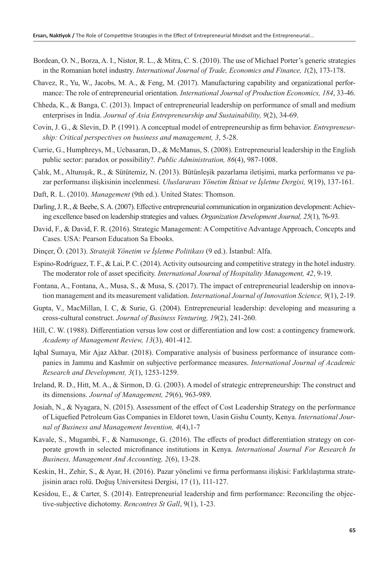- Bordean, O. N., Borza, A. I., Nistor, R. L., & Mitra, C. S. (2010). The use of Michael Porter's generic strategies in the Romanian hotel industry. *International Journal of Trade, Economics and Finance, 1*(2), 173-178.
- Chavez, R., Yu, W., Jacobs, M. A., & Feng, M. (2017). Manufacturing capability and organizational performance: The role of entrepreneurial orientation. *International Journal of Production Economics, 184*, 33-46.
- Chheda, K., & Banga, C. (2013). Impact of entrepreneurial leadership on performance of small and medium enterprises in India. *Journal of Asia Entrepreneurship and Sustainability, 9*(2), 34-69.
- Covin, J. G., & Slevin, D. P. (1991). A conceptual model of entrepreneurship as firm behavior. *Entrepreneurship: Critical perspectives on business and management, 3*, 5-28.
- Currie, G., Humphreys, M., Ucbasaran, D., & McManus, S. (2008). Entrepreneurial leadership in the English public sector: paradox or possibility?. *Public Administration, 86*(4), 987-1008.
- Çalık, M., Altunışık, R., & Sütütemiz, N. (2013). Bütünleşik pazarlama iletişimi, marka performansı ve pazar performansı ilişkisinin incelenmesi. *Uluslararası Yönetim İktisat ve İşletme Dergisi, 9*(19), 137-161.
- Daft, R. L. (2010). *Management* (9th ed.). United States: Thomson.
- Darling, J. R., & Beebe, S. A. (2007). Effective entrepreneurial communication in organization development: Achieving excellence based on leadership strategies and values. *Organization Development Journal, 25*(1), 76-93.
- David, F., & David, F. R. (2016). Strategic Management: A Competitive Advantage Approach, Concepts and Cases. USA: Pearson Educatıon Sa Ebooks.
- Dinçer, Ö. (2013). *Stratejik Yönetim ve İşletme Politikası* (9 ed.). İstanbul: Alfa.
- Espino-Rodríguez, T. F., & Lai, P. C. (2014). Activity outsourcing and competitive strategy in the hotel industry. The moderator role of asset specificity. *International Journal of Hospitality Management, 42*, 9-19.
- Fontana, A., Fontana, A., Musa, S., & Musa, S. (2017). The impact of entrepreneurial leadership on innovation management and its measurement validation. *International Journal of Innovation Science, 9*(1), 2-19.
- Gupta, V., MacMillan, I. C, & Surie, G. (2004). Entrepreneurial leadership: developing and measuring a cross-cultural construct. *Journal of Business Venturing, 19*(2), 241-260.
- Hill, C. W. (1988). Differentiation versus low cost or differentiation and low cost: a contingency framework. *Academy of Management Review, 13*(3), 401-412.
- Iqbal Sumaya, Mir Ajaz Akbar. (2018). Comparative analysis of business performance of insurance companies in Jammu and Kashmir on subjective performance measures. *International Journal of Academic Research and Development, 3*(1), 1253-1259.
- Ireland, R. D., Hitt, M. A., & Sirmon, D. G. (2003). A model of strategic entrepreneurship: The construct and its dimensions. *Journal of Management, 29*(6), 963-989.
- Josiah, N., & Nyagara, N. (2015). Assessment of the effect of Cost Leadership Strategy on the performance of Liquefied Petroleum Gas Companies in Eldoret town, Uasin Gishu County, Kenya. *International Journal of Business and Management Invention, 4*(4),1-7
- Kavale, S., Mugambi, F., & Namusonge, G. (2016). The effects of product differentiation strategy on corporate growth in selected microfinance institutions in Kenya. *International Journal For Research In Business, Management And Accounting, 2*(6), 13-28.
- Keskin, H., Zehir, S., & Ayar, H. (2016). Pazar yönelimi ve firma performansı ilişkisi: Farklılaştırma stratejisinin aracı rolü. Doğuş Universitesi Dergisi, 17 (1), 111-127.
- Kesidou, E., & Carter, S. (2014). Entrepreneurial leadership and firm performance: Reconciling the objective-subjective dichotomy. *Rencontres St Gall*, 9(1), 1-23.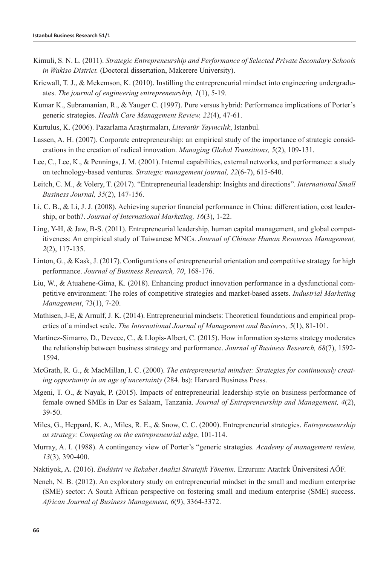- Kimuli, S. N. L. (2011). *Strategic Entrepreneurship and Performance of Selected Private Secondary Schools in Wakiso District.* (Doctoral dissertation, Makerere University).
- Kriewall, T. J., & Mekemson, K. (2010). Instilling the entrepreneurial mindset into engineering undergraduates. *The journal of engineering entrepreneurship, 1*(1), 5-19.
- Kumar K., Subramanian, R., & Yauger C. (1997). Pure versus hybrid: Performance implications of Porter's generic strategies. *Health Care Management Review, 22*(4), 47-61.
- Kurtulus, K. (2006). Pazarlama Araştırmaları, *Literatür Yayıncılık*, Istanbul.
- Lassen, A. H. (2007). Corporate entrepreneurship: an empirical study of the importance of strategic considerations in the creation of radical innovation. *Managing Global Transitions, 5*(2), 109-131.
- Lee, C., Lee, K., & Pennings, J. M. (2001). Internal capabilities, external networks, and performance: a study on technology‐based ventures. *Strategic management journal, 22*(6‐7), 615-640.
- Leitch, C. M., & Volery, T. (2017). "Entrepreneurial leadership: Insights and directions". *International Small Business Journal, 35*(2), 147-156.
- Li, C. B., & Li, J. J. (2008). Achieving superior financial performance in China: differentiation, cost leadership, or both?. *Journal of International Marketing, 16*(3), 1-22.
- Ling, Y-H, & Jaw, B-S. (2011). Entrepreneurial leadership, human capital management, and global competitiveness: An empirical study of Taiwanese MNCs. *Journal of Chinese Human Resources Management, 2*(2), 117-135.
- Linton, G., & Kask, J. (2017). Configurations of entrepreneurial orientation and competitive strategy for high performance. *Journal of Business Research, 70*, 168-176.
- Liu, W., & Atuahene-Gima, K. (2018). Enhancing product innovation performance in a dysfunctional competitive environment: The roles of competitive strategies and market-based assets. *Industrial Marketing Management*, 73(1), 7-20.
- Mathisen, J-E, & Arnulf, J. K. (2014). Entrepreneurial mindsets: Theoretical foundations and empirical properties of a mindset scale. *The International Journal of Management and Business, 5*(1), 81-101.
- Martinez-Simarro, D., Devece, C., & Llopis-Albert, C. (2015). How information systems strategy moderates the relationship between business strategy and performance. *Journal of Business Research, 68*(7), 1592- 1594.
- McGrath, R. G., & MacMillan, I. C. (2000). *The entrepreneurial mindset: Strategies for continuously creating opportunity in an age of uncertainty* (284. bs): Harvard Business Press.
- Mgeni, T. O., & Nayak, P. (2015). Impacts of entrepreneurial leadership style on business performance of female owned SMEs in Dar es Salaam, Tanzania. *Journal of Entrepreneurship and Management, 4*(2), 39-50.
- Miles, G., Heppard, K. A., Miles, R. E., & Snow, C. C. (2000). Entrepreneurial strategies. *Entrepreneurship as strategy: Competing on the entrepreneurial edge*, 101-114.
- Murray, A. I. (1988). A contingency view of Porter's "generic strategies. *Academy of management review, 13*(3), 390-400.
- Naktiyok, A. (2016). *Endüstri ve Rekabet Analizi Stratejik Yönetim.* Erzurum: Atatürk Üniversitesi AÖF.
- Neneh, N. B. (2012). An exploratory study on entrepreneurial mindset in the small and medium enterprise (SME) sector: A South African perspective on fostering small and medium enterprise (SME) success. *African Journal of Business Management, 6*(9), 3364-3372.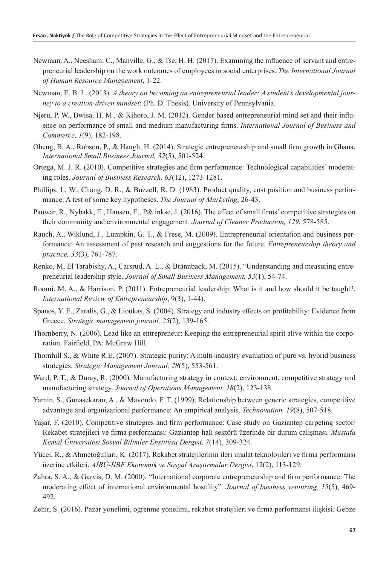- Newman, A., Neesham, C., Manville, G., & Tse, H. H. (2017). Examining the influence of servant and entrepreneurial leadership on the work outcomes of employees in social enterprises. *The International Journal of Human Resource Management*, 1-22.
- Newman, E. B. L. (2013). *A theory on becoming an entrepreneurial leader: A student's developmental journey to a creation-driven mindset*: (Ph. D. Thesis). University of Pennsylvania.
- Njeru, P. W., Bwisa, H. M., & Kihoro, J. M. (2012). Gender based entrepreneurial mind set and their influence on performance of small and medium manufacturing firms. *International Journal of Business and Commerce, 1*(9), 182-198.
- Obeng, B. A., Robson, P., & Haugh, H. (2014). Strategic entrepreneurship and small firm growth in Ghana. *International Small Business Journal, 32*(5), 501-524.
- Ortega, M. J. R. (2010). Competitive strategies and firm performance: Technological capabilities' moderating roles. *Journal of Business Research, 63*(12), 1273-1281.
- Phillips, L. W., Chang, D. R., & Buzzell, R. D. (1983). Product quality, cost position and business performance: A test of some key hypotheses. *The Journal of Marketing*, 26-43.
- Panwar, R., Nybakk, E., Hansen, E., P& inkse, J. (2016). The effect of small firms' competitive strategies on their community and environmental engagement. *Journal of Cleaner Production, 129*, 578-585.
- Rauch, A., Wiklund, J., Lumpkin, G. T., & Frese, M. (2009). Entrepreneurial orientation and business performance: An assessment of past research and suggestions for the future. *Entrepreneurship theory and practice, 33*(3), 761-787.
- Renko, M, El Tarabishy, A., Carsrud, A. L., & Brännback, M. (2015). "Understanding and measuring entrepreneurial leadership style. *Journal of Small Business Management, 53*(1), 54-74.
- Roomi, M. A., & Harrison, P. (2011). Entrepreneurial leadership: What is it and how should it be taught?. *International Review of Entrepreneurship*, 9(3), 1-44).
- Spanos, Y. E., Zaralis, G., & Lioukas, S. (2004). Strategy and industry effects on profitability: Evidence from Greece. *Strategic management journal, 25*(2), 139-165.
- Thornberry, N. (2006). Lead like an entrepreneur: Keeping the entrepreneurial spirit alive within the corporation. Fairfield, PA: McGraw Hill.
- Thornhill S., & White R.E. (2007). Strategic purity: A multi-industry evaluation of pure vs. hybrid business strategies. *Strategic Management Journal, 28*(5), 553-561.
- Ward, P. T., & Duray, R. (2000). Manufacturing strategy in context: environment, competitive strategy and manufacturing strategy. *Journal of Operations Management, 18*(2), 123-138.
- Yamin, S., Gunasekaran, A., & Mavondo, F. T. (1999). Relationship between generic strategies, competitive advantage and organizational performance: An empirical analysis. *Technovation, 19*(8), 507-518.
- Yaşar, F. (2010). Competitive strategies and firm performance: Case study on Gaziantep carpeting sector/ Rekabet stratejileri ve firma performansi: Gaziantep hali sektörü üzerinde bir durum çalışması. *Mustafa Kemal Üniversitesi Sosyal Bilimler Enstitüsü Dergisi, 7*(14), 309-324.
- Yücel, R., & Ahmetoğulları, K. (2017). Rekabet stratejilerinin ileri imalat teknolojileri ve firma performansı üzerine etkileri. *AİBÜ-İİBF Ekonomik ve Sosyal Araştırmalar Dergisi*, 12(2), 113-129.
- Zahra, S. A., & Garvis, D. M. (2000). "International corporate entrepreneurship and firm performance: The moderating effect of international environmental hostility". *Journal of business venturing, 15*(5), 469- 492.
- Zehir, S. (2016). Pazar yonelimi, ogrenme yönelimi, rekabet stratejileri ve firma performansı ilişkisi. Gebze